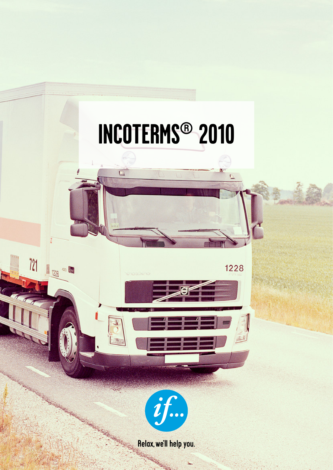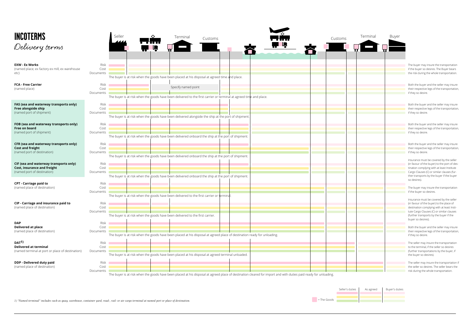

*1) "Named terminal" includes such as quay, warehouse, container yard, road-, rail- or air cargo terminal at named port or place of destination.*

East The Goods

nay insure the transportation so desires. The Buyer bears ing the whole transportation.

yer and the seller may insure tive legs of the transportation, esire.

yer and the seller may insure tive legs of the transportation, esire.

iver and the seller may insure tive legs of the transportation, esire.

yer and the seller may insure tive legs of the transportation, esire.

nust be covered by the seller f the buyer) to the port of desnplying with at least Institute ses (C) or similar clauses (furorts by the buyer if the buyer

nay insure the transportation so desires.

nust be covered by the seller f the buyer) to the place of complying with at least Insti-Clauses (C) or similar clauses asports by the buyer if the sires).

yer and the seller may insure tive legs of the transportation, esire.

ay insure the transportation inal, if the seller so desires asportations by the buyer, if o desires).

ay insure the transportation if the seller bears the the whole transportation.

| <b>INCOTERMS</b><br>Delivery terms                                                                                                         |                                           | Seller<br>IR.                                                                                       | Terminal            | Customs                                                                                                                  |                                                                                                                                                                  | Customs | Terminal | Buyer |                                                                                |
|--------------------------------------------------------------------------------------------------------------------------------------------|-------------------------------------------|-----------------------------------------------------------------------------------------------------|---------------------|--------------------------------------------------------------------------------------------------------------------------|------------------------------------------------------------------------------------------------------------------------------------------------------------------|---------|----------|-------|--------------------------------------------------------------------------------|
| <b>EXW - Ex Works</b><br>(named place; ex factory ex mill, ex warehouse<br>etc)                                                            | Risk<br>Cost<br>Documents                 | The buyer is at risk when the goods have been placed at his disposal at agreed time and place.      |                     |                                                                                                                          |                                                                                                                                                                  |         |          |       | The buyer m<br>if the buyer:<br>the risk duri                                  |
| <b>FCA - Free Carrier</b><br>(named place)                                                                                                 | Risk<br>Cost<br>Documents                 |                                                                                                     | Specify named point | The buyer is at risk when the goods have been delivered to the first carrier or terminal at agreed time and place.       |                                                                                                                                                                  |         |          |       | Both the buy<br>their respec<br>if they so de                                  |
| FAS (sea and waterway transports only)<br>Free alongside ship<br>(named port of shipment)                                                  | Risk <b>National</b><br>Cost<br>Documents | The buyer is at risk when the goods have been delivered alongside the ship at the port of shipment. |                     |                                                                                                                          |                                                                                                                                                                  |         |          |       | Both the buy<br>their respec<br>if they so de                                  |
| FOB (sea and waterway transports only)<br>Free on board<br>(named port of shipment)                                                        | Risk<br>Cost<br>Documents                 | The buyer is at risk when the goods have been delivered onboard the ship at the port of shipment.   |                     |                                                                                                                          |                                                                                                                                                                  |         |          |       | Both the but<br>their respec<br>if they so de                                  |
| CFR (sea and waterway transports only)<br><b>Cost and freight</b><br>(named port of destination)<br>CIF (sea and waterway transports only) | Risk<br>Cost<br>Documents<br>Risk n       |                                                                                                     |                     | The buyer is at risk when the goods have been delivered onboard the ship at the port of shipment.                        |                                                                                                                                                                  |         |          |       | Both the buy<br>their respec<br>if they so de<br>Insurance m<br>(in favour of  |
| Cost, insurance and freight<br>(named port of destination)<br><b>CPT - Carriage paid to</b>                                                | Cost<br>Documents<br>Risk                 | The buyer is at risk when the goods have been delivered onboard the ship at the port of shipment.   |                     |                                                                                                                          |                                                                                                                                                                  |         |          |       | tination com<br>Cargo Claus<br>ther transpo<br>so desires).                    |
| (named place of destination)<br>CIP - Carriage and insurance paid to                                                                       | Cost<br>Documents<br>Risk                 | The buyer is at risk when the goods have been delivered to the first carrier or terminal.           |                     |                                                                                                                          |                                                                                                                                                                  |         |          |       | The buyer m<br>if the buyer:<br>Insurance m<br>(in favour of                   |
| (named place of destination)<br><b>DAP</b>                                                                                                 | Cost<br>Documents<br>Risk <b>Norway</b>   | The buyer is at risk when the goods have been delivered to the first carrier.                       |                     |                                                                                                                          |                                                                                                                                                                  |         |          |       | destination<br>tute Cargo C<br>(further tran<br>buyer so de:                   |
| Delivered at place<br>(named place of destination)<br>DAT <sup>1</sup><br><b>Delivered at terminal</b>                                     | Cost<br>Documents<br>Risk<br>Cost         |                                                                                                     |                     | The buyer is at risk when the goods have been placed at his disposal at agreed place of destination ready for unloading. |                                                                                                                                                                  |         |          |       | Both the but<br>their respec<br>if they so de<br>The seller m                  |
| (named terminal at port or place of destination)<br>DDP - Delivered duty paid<br>(named place of destination)                              | Documents<br>Risk<br>Cost                 |                                                                                                     |                     | The buyer is at risk when the goods have been placed at his disposal at agreed terminal unloaded.                        |                                                                                                                                                                  |         |          |       | to the termi<br>(further tran<br>the buyer so<br>The seller m<br>the seller so |
|                                                                                                                                            | Documents                                 |                                                                                                     |                     |                                                                                                                          | The buyer is at risk when the goods have been placed at his disposal at agreed place of destination cleared for import and with duties paid ready for unloading. |         |          |       | risk during t                                                                  |